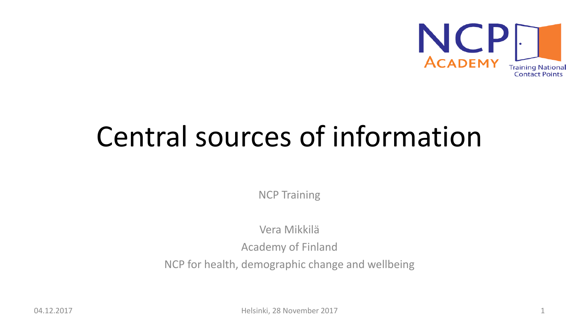

# Central sources of information

NCP Training

Vera Mikkilä

Academy of Finland

NCP for health, demographic change and wellbeing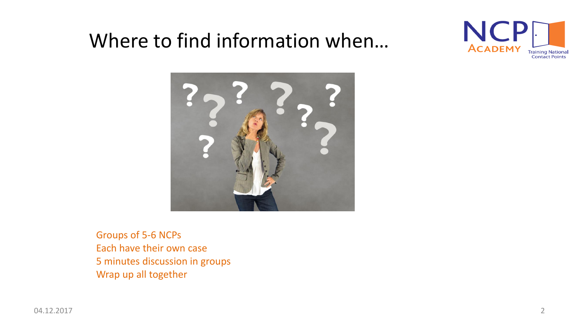### Where to find information when…





Groups of 5-6 NCPs Each have their own case 5 minutes discussion in groups Wrap up all together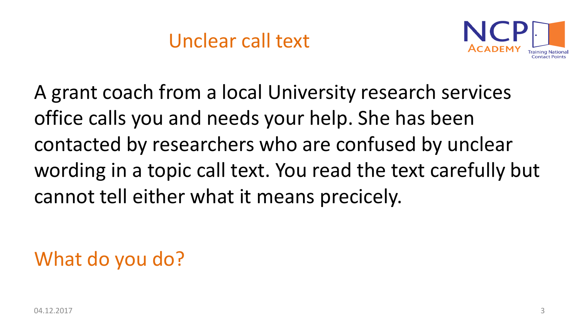

A grant coach from a local University research services office calls you and needs your help. She has been contacted by researchers who are confused by unclear wording in a topic call text. You read the text carefully but cannot tell either what it means precicely.

# What do you do?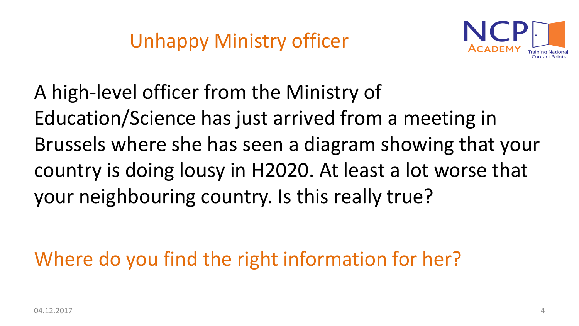

A high-level officer from the Ministry of Education/Science has just arrived from a meeting in Brussels where she has seen a diagram showing that your country is doing lousy in H2020. At least a lot worse that your neighbouring country. Is this really true?

Where do you find the right information for her?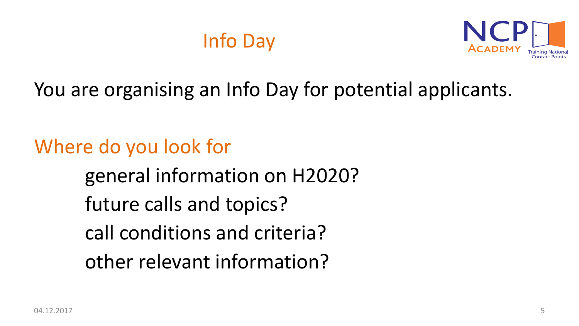# Info Day



You are organising an Info Day for potential applicants.

Where do you look for

general information on H2020?

future calls and topics?

call conditions and criteria?

other relevant information?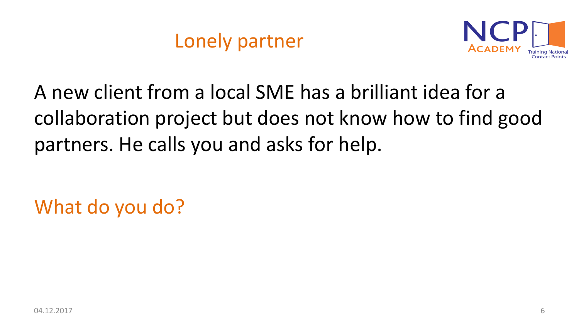

A new client from a local SME has a brilliant idea for a collaboration project but does not know how to find good partners. He calls you and asks for help.

What do you do?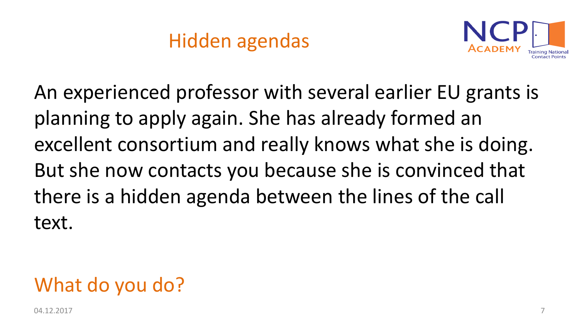# Hidden agendas



An experienced professor with several earlier EU grants is planning to apply again. She has already formed an excellent consortium and really knows what she is doing. But she now contacts you because she is convinced that there is a hidden agenda between the lines of the call text.

# What do you do?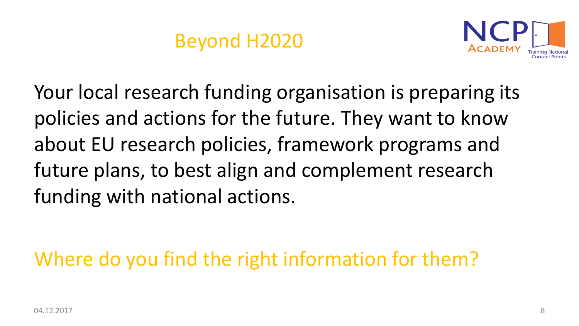### Beyond H2020



Your local research funding organisation is preparing its policies and actions for the future. They want to know about EU research policies, framework programs and future plans, to best align and complement research funding with national actions.

Where do you find the right information for them?